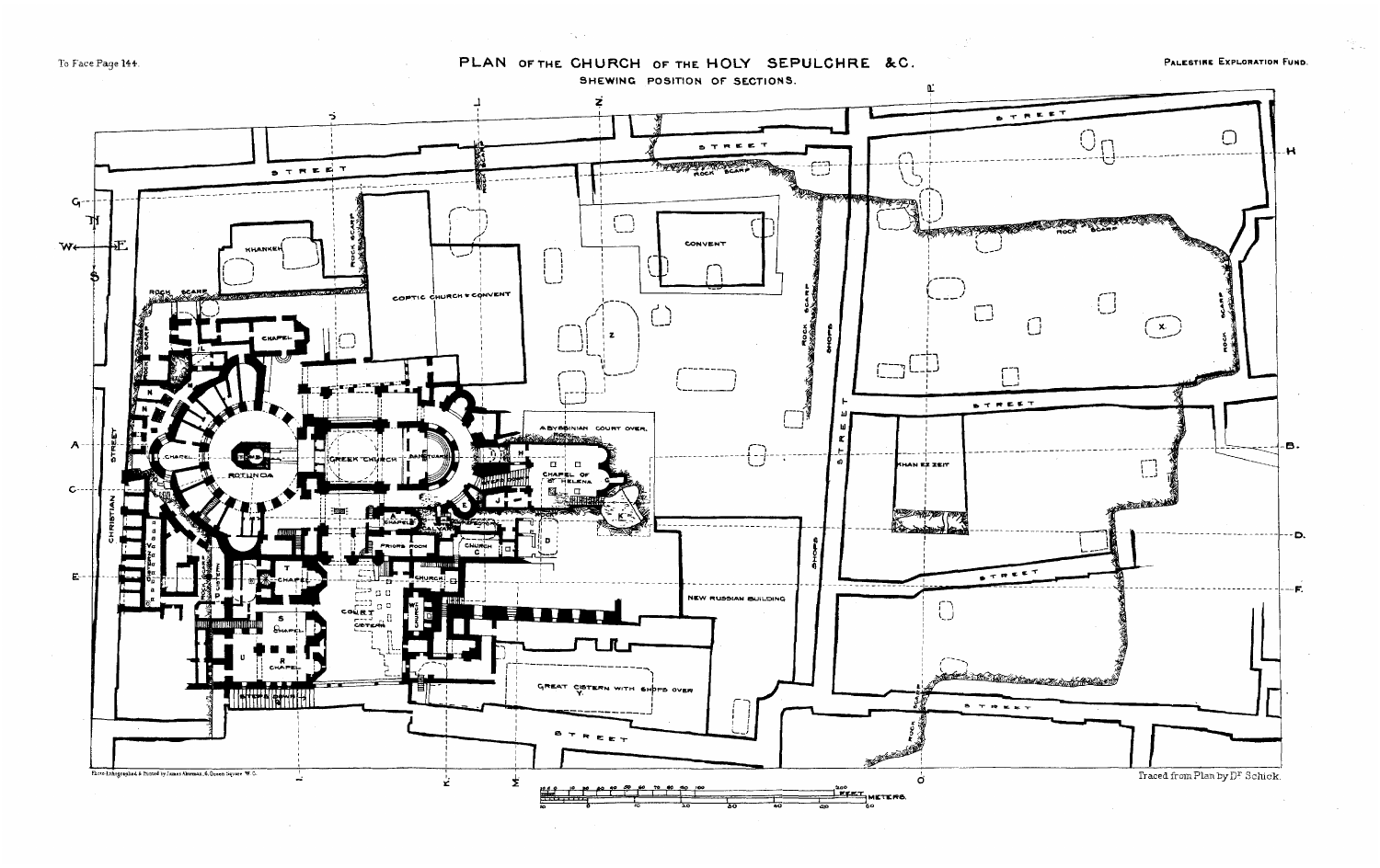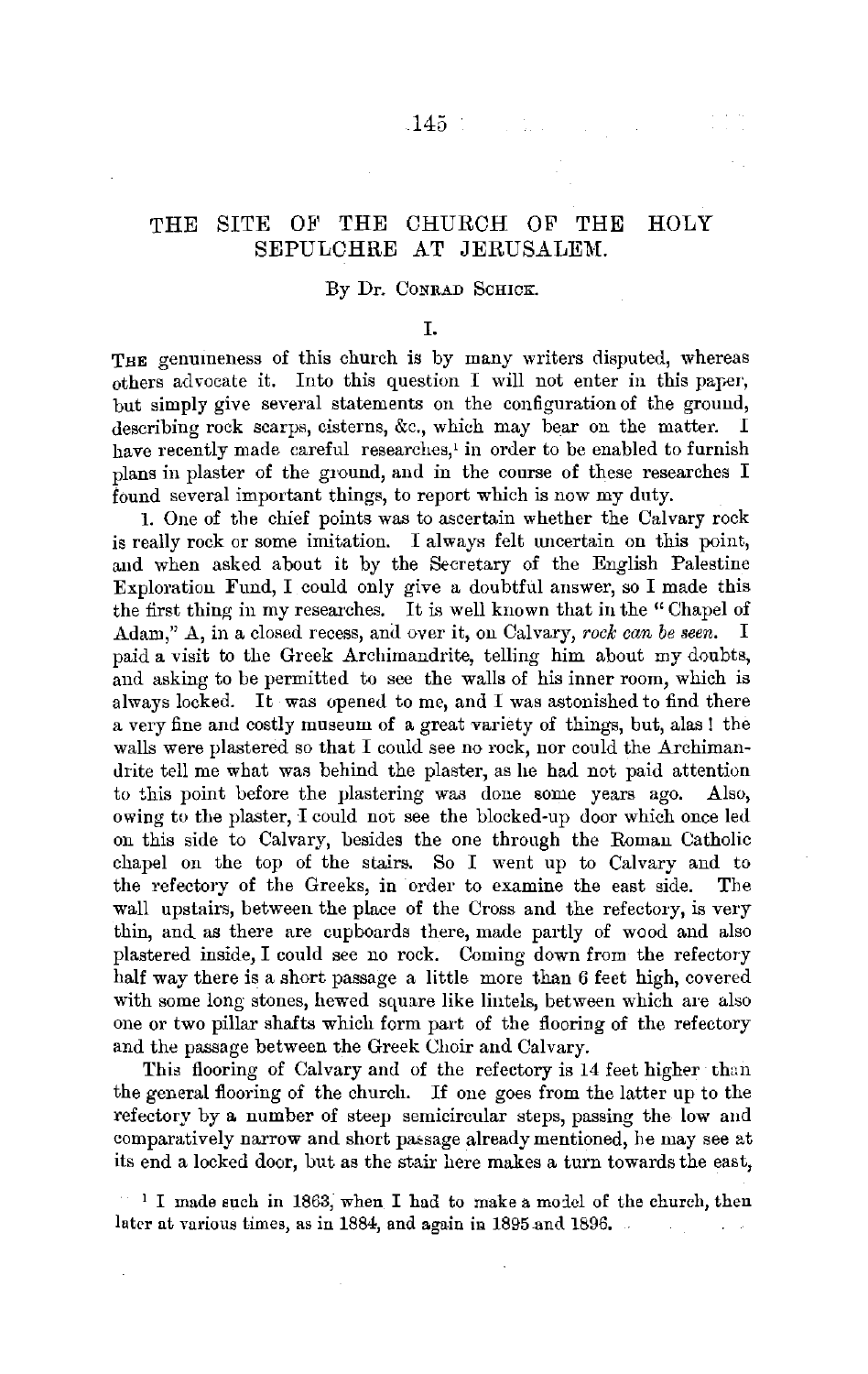# THE SITE OF THE CHURCH OF THE HOLY SEPULCHRE AT JERUSALEM.

### By Dr. CONRAD SCHICK.

### I.

THE genumeness of this church is by many writers disputed, whereas others advocate it. Into this question  $I$  will not enter in this paper, but simply give several statements on the configuration of the ground, describing rock scarps, cisterns, &c., which may bear on the matter. I have recently made careful researches,' in order to be enabled to furnish plans in plaster of the ground, and in the course of these researches I found several important things, to report which is now my duty.

1. One of the chief points was to ascertain whether the Calvary rock is really rock or some imitation. I always felt uncertain on this point, and when asked about it by the Secretary of the English Palestine Exploration Fund, I could only give a doubtful answer, so I made this the first thing in my researches. It is well known that in the "Chapel of Adam," A, in a closed recess, and over it, on Calvary, *rock can be seen.* I paid a visit to the Greek Archimandrite, telling him about my doubts, and asking to be permitted to see the walls of his inner room, which is always locked. It was opened to me, and I was astonished to find there a very fine and costly museum of a great variety of things, but, alas l the walls were plastered so that I could see no rock, nor could the Archimandrite tell me what was behind the plaster, as he had not paid attention to this point before the plastering was done some years ago. Also, owing to the plaster, I could not see the blocked-up door which once led on this side to Calvary, besides the one through the Roman Catholic chapel on the top of the stairs. So I went up to Calvary and to the refectory of the Greeks, in order to examine the east side. The wall upstairs, between the place of the Cross and the refectory, is very thin, and as there are cupboards there, made partly of wood and also plastered inside, I could see no rock. Coming down from the refectory half way there is a short passage a little more than 6 feet high, covered with some long stones, hewed square like lintels, between which are also one or two pillar shafts which form part of the flooring of the refectory and the passage between the Greek Choir and Calvary.

This flooring of Calvary and of the refectory is 14 feet higher than the general flooring of the church. If one goes from the latter up to the refectory by a number of steep semicircular steps, passing the low and comparatively narrow and short passage already mentioned, he may see at its end a locked door, but as the stair here makes a turn towards the east,

 $1$  I made such in 1863, when I had to make a model of the church, then later at various times, as in 1884, and again in 1895 and 1896.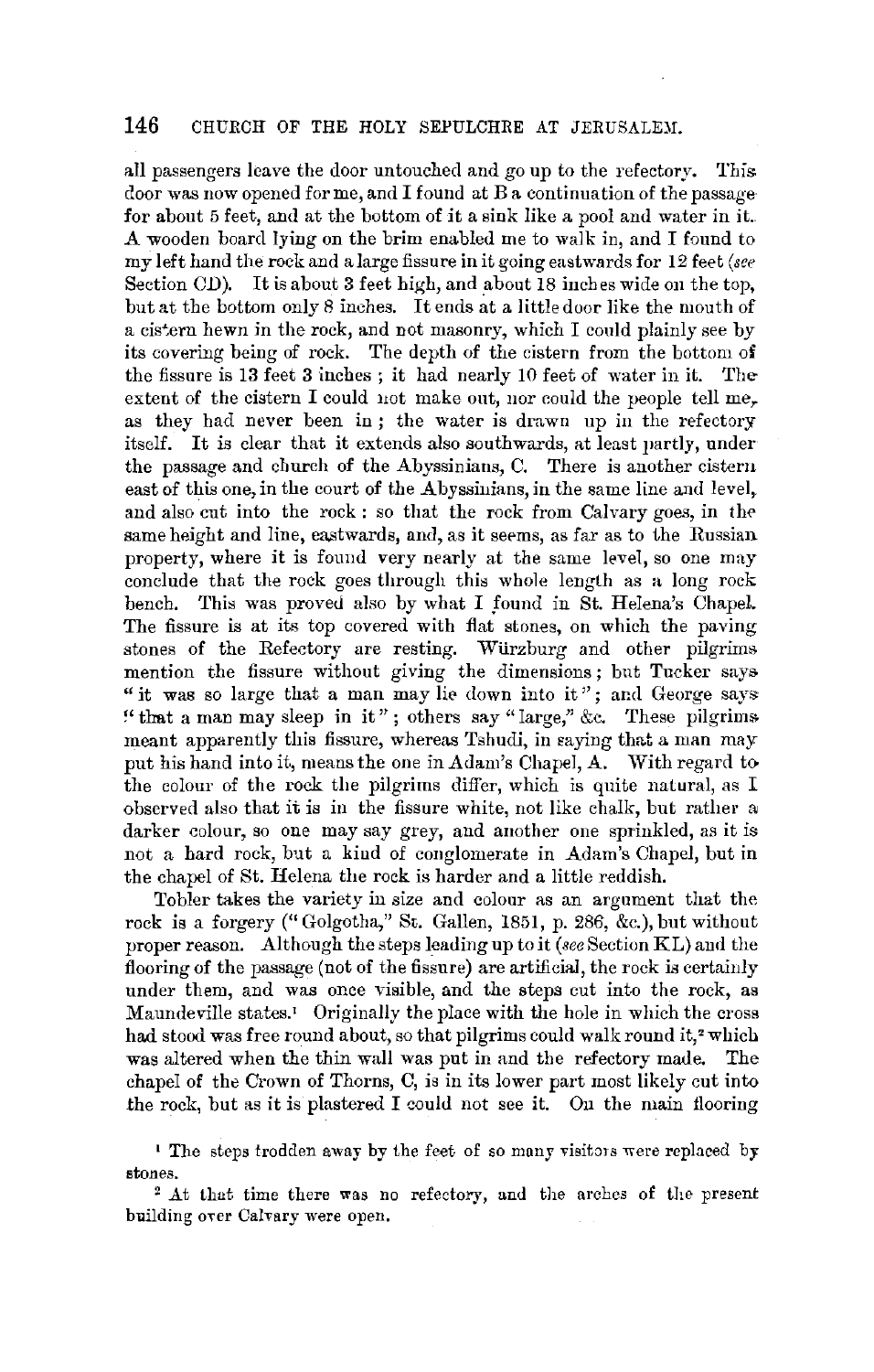all passengers leave the door untouched and go up to the refectory. This door was now opened for me, and I found at Ba continuation of the passage for about 5 feet, and at the bottom of it a sink like a pool and water in it. A wooden board lying on the brim enabled me to walk in, and I found to my left hand the rock and a large fissure in it going eastwards for 12 feet *(see* Section CD). It is about 3 feet high, and about 18 inches wide on the top, but at the bottom only 8 inches. It ends at a little door like the mouth of a cistern hewn in the rock, and not masonry, which I could plainly see by its covering being of rock. The depth of the cistern from the bottom of the fissure is 13 feet 3 inches ; it had nearly 10 feet of water in it. Theextent of the cistern I could not make out, nor could the people tell me<sub>r</sub> as they had never been in; the water is drawn up in the refectory itself. It is clear that it extends also southwards, at least partly, under the passage and church of the Abyssinians, C. There is another cistern east of this one, **in** the court of the Abyssiuians, **in** the same line and level, and also cut into the rock : so that the rock from Calvary goes, in the same height and line, eastwards, and, as it seems, as far as to the Russian. property, where it is found very nearly at the same level, so one may conclude that the rock goes through this whole length as a Jong rock bench. This was proved also by what I found in St. Helena's Chapel. The fissure is at its top covered with flat stones, on which the paving stones of the Refectory are resting. Wiirzburg and other pilgrims mention the fissure without giving the dimensions; but Tucker says " it was so large that a man may lie down into it"; and George says " that a man may sleep in it"; others say "large," &c. These pilgrims meant apparently this fissure, whereas Tshudi, in eaying that a man may put his hand into it, means the one in Adam's Chapel, A. With regard to the colour of the rock the pilgrims differ, which is quite natural, as I observed also that it is in the fissure white, not like chalk, but rather a. darker colour, so one may say grey, and another one sprinkled, as it is not a hard rock, but a kind of conglomerate in Adam's Chapel, but in the chapel of St. Helena the rock is harder and a little reddish.

Tobler takes the variety in size and colour as an argument that the rock is a forgery(" Golgotha," St. Gallen, 1851, p. 286, &c.), but without proper reason. Although the steps leading up to it *(see* Section KL) and the flooring of the passage (not of the fissure) are artificial, the rock is certainly under them, and was once visible, and the steps cut into the rock, as Maundeville states.<sup>1</sup> Originally the place with the hole in which the cross had stood was free round about, so that pilgrims could walk round it,<sup>2</sup> which was altered when the thin wall was put in and the refectory made. The chapel of the Crown of Thorns, C, is in its lower part most likely cut into the rock, but as it is plastered I could not see it. On the main flooring

 $\frac{1}{1}$  The steps trodden away by the feet of so many visitors were replaced by stones.

<sup>2</sup> At that time there was no refectory, and the arches of the present building over Calvary were open.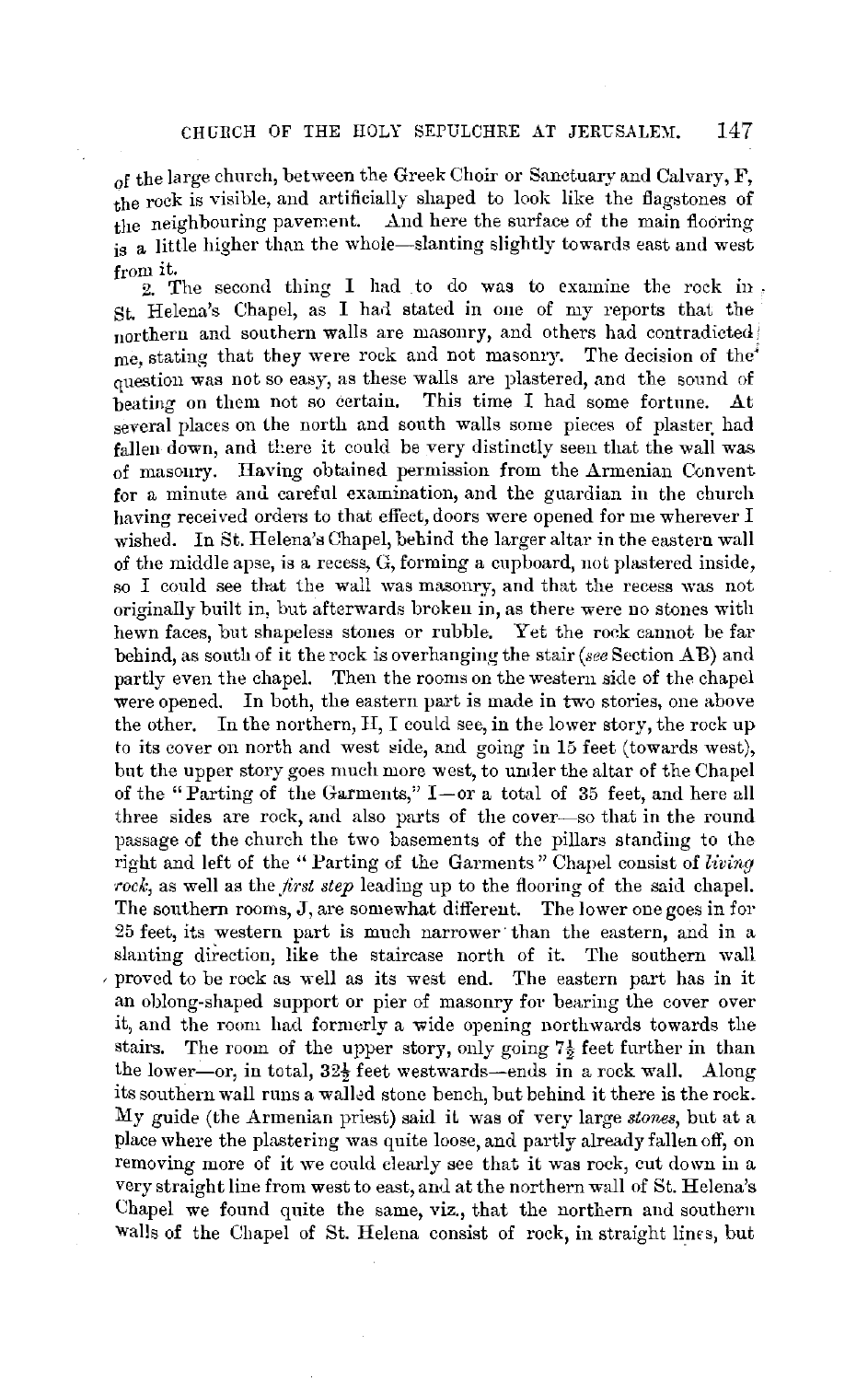of the large chnrch, between the Greek Choir or Sanctuary and Calvary, F, the rock is visible, and artificially shaped to look like the flagstones of the neighbouring pavement. And here the surface of the main flooring is a little higher than the whole-slanting slightly towards east and west from it.

2. The second thing I had to do was to examine the rock in. St. Helena's Chapel, as I had stated in one of my reports that the northern and southern walls are masonry, and others had contradicted< me, stating that they were rock and not masonry. The decision of the<sup> $\ell$ </sup> question was not so easy, as these walls are plastered, anct the sound of beating on them not so certain. This time I had some fortune. At several places on the north and south walls some pieces of plaster had fallen down, and there it could be very distinctly seen that the wall was of masonry. Raving obtained permission from the Armenian Convent for a minute and careful examination, and the guardian in the church having received orders to that effect, doors were opened for me wherever I wished. In St. Helena's Chapel, behind the larger altar in the eastern wall of the middle apse, is a recess, G, forming a cupboard, not plastered inside, so I could see that the wall was masonry, and that the recess was not originally built in, but afterwards broken in, as there were no stones with hewn faces, but shapeless stones or rubble. Yet the rock cannot be far behind, as south of it the rock is overhanging the stair *(see* Section A **B)** and partly even the chapel. Then the rooms on the western side of the chapel were opened. **In** both, the eastern part is made in two stories, one above the other. In the northern, II, I could see, in the lower story, the rock up to its cover on north and west side, and going in 15 feet (towards west), but the upper story goes much more west, to under the altar of the Chapel of the "Parting of the Garments,"  $I-$ or a total of 35 feet, and here all three sides are rock, and also parts of the cover-so that in the round passage of the church the two basements of the pillars standing to the right and left of the "Parting of the Garments" Chapel consist of *living*  rock, as well as the *first step* leading up to the flooring of the said chapel. The southern rooms, **J,** are somewhat different. The lower one goes in for 25 feet, its western part is much narrower· than the eastern, and in a slanting direction, like the staircase north of it. The southern wall , proved to be rock as well as its west end. The eastern part has in it an oblong-shaped support or pier of masonry for bearing the cover over it, and the room had formerly a wide opening northwards towards the stairs. The room of the upper story, only going  $7\frac{1}{2}$  feet further in than the lower-or, in total,  $32\frac{1}{2}$  feet westwards-ends in a rock wall. Along its southern wall runs a walled stone bench, but behind it there is the rock. My guide (the Armenian priest) said iL was of very large *stones,* but at a place where the plastering was quite loose, and partly already fallen off, on removing more of it we could clearly see that it was rock, cut down **in** a very straight line from west to east, and at the northern wall of St. Helena's Chapel we found quite the same, viz., that the northern and southern walls of the Chapel of St. Helena consist of rock, in straight lines, but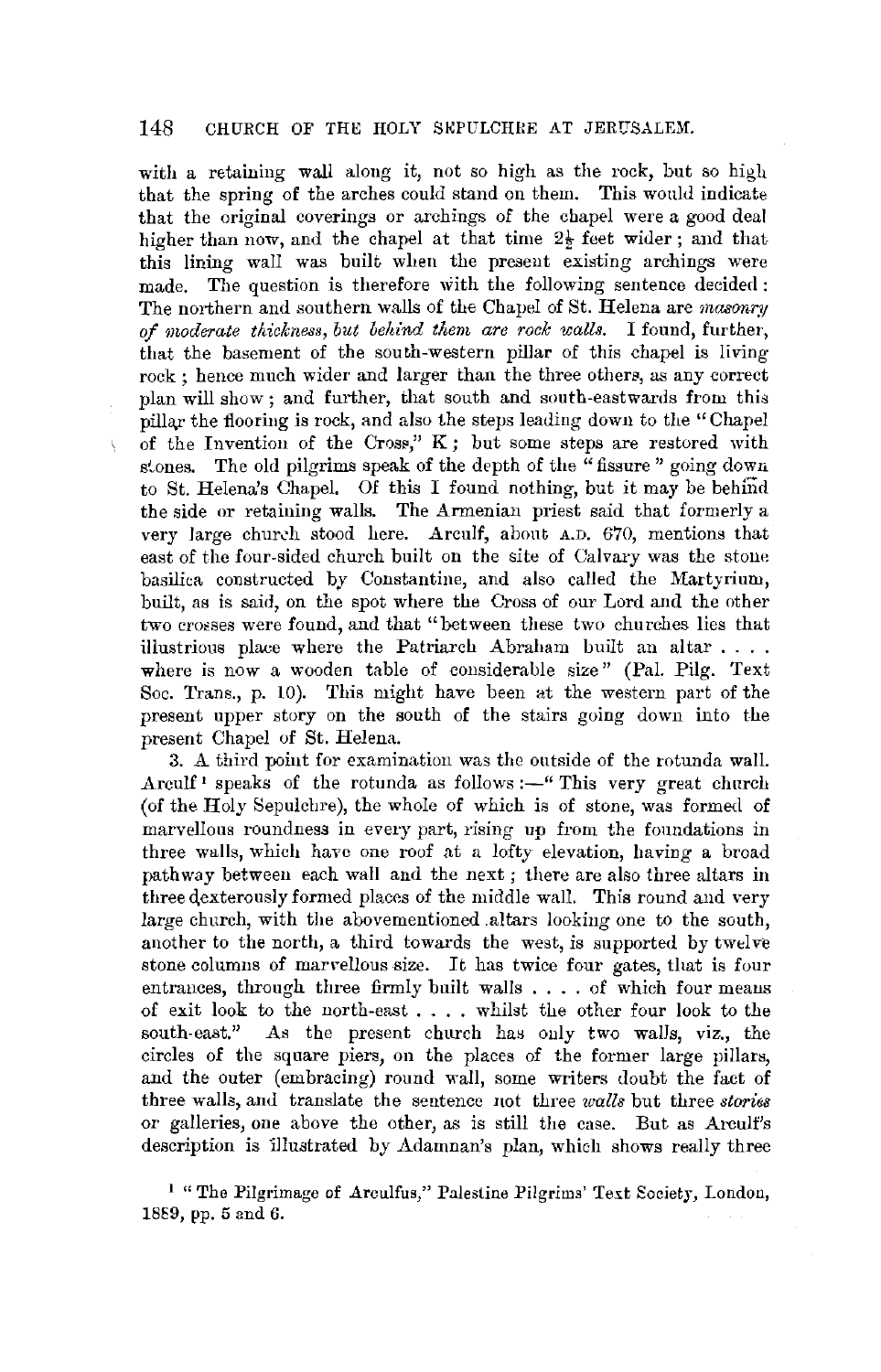#### 148 CHURCH OF THE HOLY SKPULCHRE AT JERUSALEM.

with a retaining wall along it, not so high as the rock, but so high that the spring of the arches could stand on them. This would indicate that the original coverings or archings of the chapel were a good deal higher than now, and the chapel at that time  $2\frac{1}{2}$  feet wider; and that this lining wall was built when the present existing archings were made. The question is therefore with the following sentence decided : The northern and southern walls of the Chapel of St. Helena are *masonry of moderate thickness, but beltind them are rock walls.* I found, further, that the basement of the south-western pillar of this chapel is living rock; hence much wider and larger than the three others, as any correct plan will show; and further, that south and south-eastwards from this pillar the flooring is rock, and also the steps leading down to the "Chapel" of the Invention of the Cross,"  $K$ ; but some steps are restored with stones. The old pilgrims speak of the depth of the "fissure" going down to St. Helena's Chapel. Of this I found nothing, but it may be behind the side or retaining walls. The Armenian priest said that formerly a very large church stood here. Arculf, about A.D. 670, mentions that east of the four-sided church built on the site of Calvary was the stone basilica constructed by Constantine, and also called the Martyrium, built, as is said, on the spot where the Cross of our Lord and the other two crosses were found, and that "between these two churches lies that illustrious plaee where the Patriarch Abraham built an altar .... where is now a wooden table of considerable size" (Pal. Pilg. Text Soc. Trans., p. 10). This might have been at the western part of the present upper story on the south of the stairs going down into the present Chapel of St. Helena.

î,

3. A third point for examination was the outside of the rotunda wall. Arculf<sup>1</sup> speaks of the rotunda as follows : $-$ " This very great church (of the Holy Sepulchre), the whole of which is of stone, was formed of marvellous roundness in every part, rising up from the foundations in three walls, which have one roof at a lofty elevation, having **a** broad pathway between each wall and the next; there are also three altars **in**  three dexterously formed places of the middle wall. This round and very large church, with the abovementioned .altars looking one to the south, another to the north, a third towards the west, is supported by twelve stone columns of marvellous size. It has twice four gates, that is four entrances, through three firmly built walls .... of which four meaus of exit look to the north-east  $\dots$ , whilst the other four look to the south-east." As the present church has only two walls, viz., the As the present church has only two walls, viz., the circles of the square piers, on the places of the former large pillars, and the outer (embracing) round wall, some writers doubt the fact of three walls, and translate the sentence not three *walls* but three *stories*  or galleries, one above the other, as is still the case. But as Arculf's description is illustrated by Adamnan's plan, which shows really three

<sup>1</sup> "The Pilgrimage of Arculfus," Palestine Pilgrims' Text Society, London, 1889, pp. 5 and 6.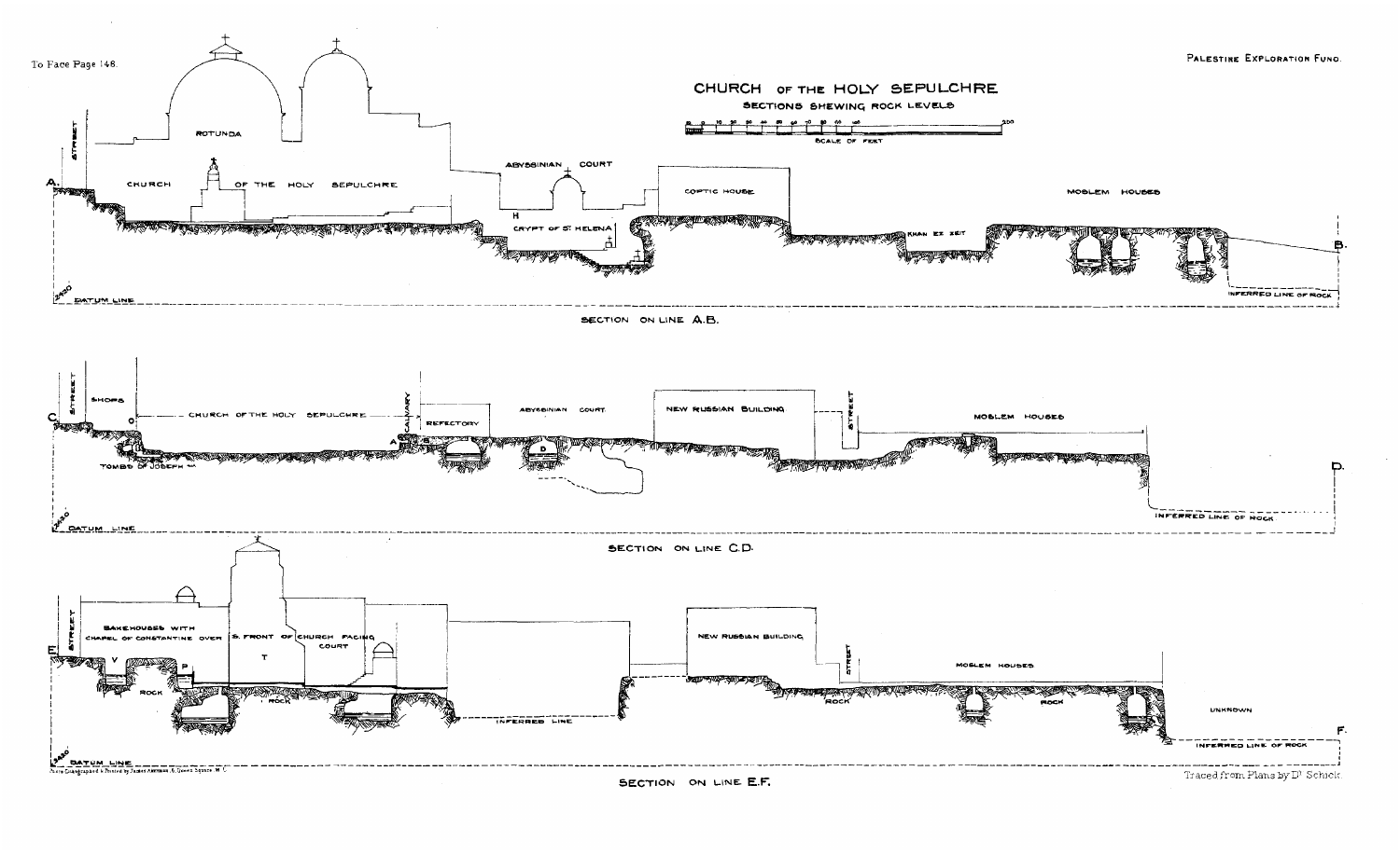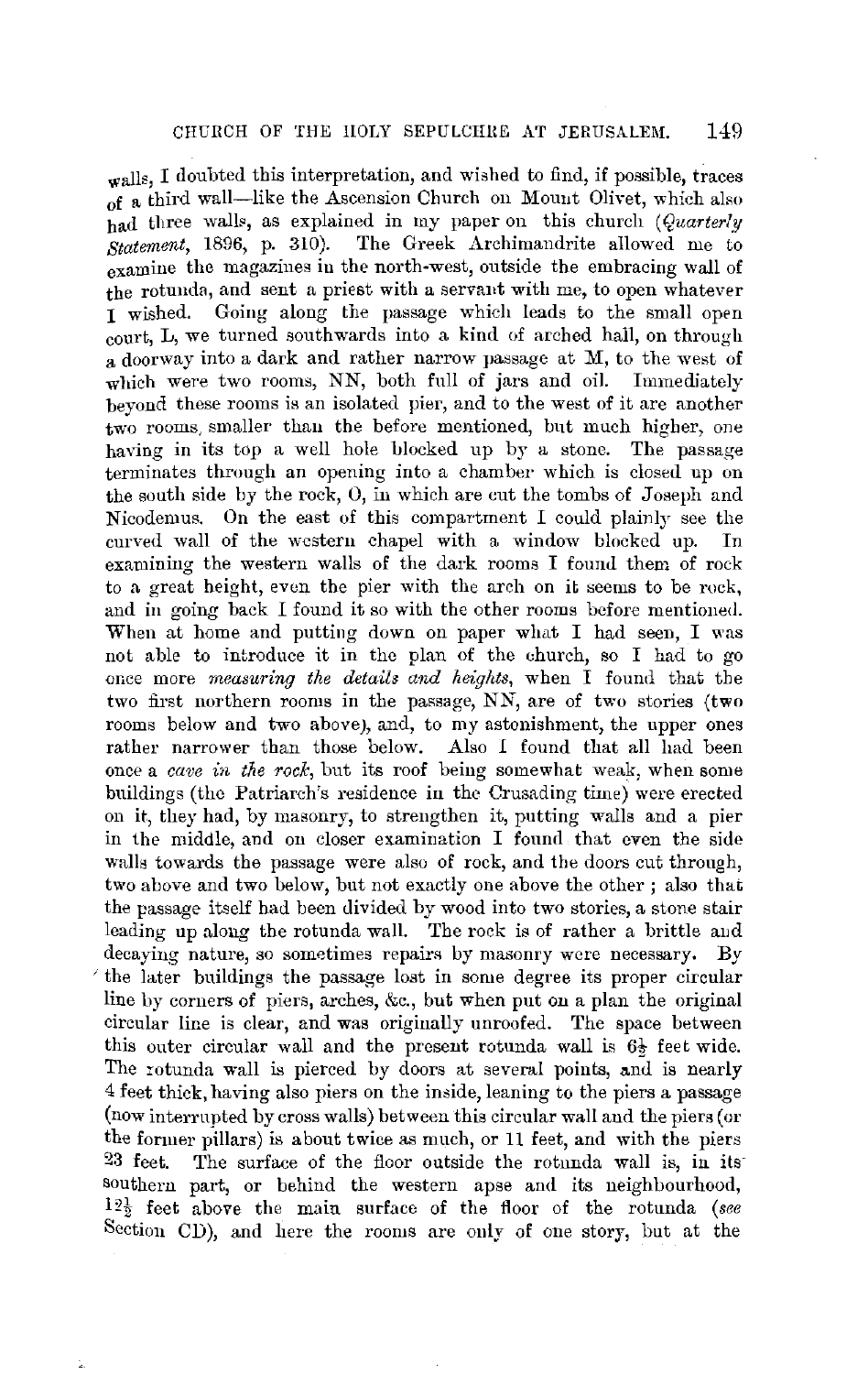walls, I doubted this interpretation, and wished to find, if possible, traces of a third wall-like the Ascension Church on Mouut Olivet, which also bad three walls, as explained in my paper on this church *(Quarterly Statement,* 1896, p. 310). The Greek Archimandrite allowed me to examine the magazines in the north-west, outside the embracing wall of the rotunda, and sent a priest with a servant with me, to open whatever I wished. Going along the passage which leads to the small open court, L, we turned southwards into a kind of arched hall, on through **a** doorway into a dark and rather narrow passage at M, to the west of which were two rooms, NN, both full of jars and oil. Immediately beyond these rooms is an isolated pier, and to the west of it are another two rooms, smaller than the before mentioned, but much higher, one having in its top a well hole blocked up by a stone. The passage terminates through an opening into a chamber which is closed up on the south side by the rock, 0, in which are cut the tombs of Joseph and Nicodemus. On the east of this compartment I could plainly see the curved wall of the western chapel with a window blocked up. In examining the western walls of the dark rooms I found them of rock to a great height, even the pier with the arch on it seems to be rock, and in going back I found it so with the other rooms before mentioned. When at home and putting down on paper what I had seen, I was not able to introduce it in the plan of the church, so I had to go or.ce more *measuring the details and heights,* when I found that tbe two first northern rooms in the passage, NN, are of two stories (two rooms below and two above), and, to my astonishment, the upper ones rather narrower than those below. Also *I* found that all had been once a *cave in the rock,* but its roof being somewhat weak, when some buildings (the Patriarch's residence in the Crusading time) were erected on it, they had, by masonry, to strengthen it, putting walls and a pier in the middle, and on closer examination I found that even the side walls towards the passage were also of rock, and the doors cut through, two above and two below, but not exactly one above the other ; also that the passage itself had been divided by wood into two stories, a stone stair leading up along the rotunda wall. The rock is of rather a brittle and decaying nature, so sometimes repairs by masonry were necessary. By the later buildings the passage lost in some degree its proper circular line liy corners of piers, arches, &c., but when put on a plan the original circular line is clear, and was originally unroofed. The space between this outer circular wall and the present rotunda wall is  $6\frac{1}{2}$  feet wide. The rotunda wall is pierced by doors at several points, and is nearly 4 feet thick, having also piers on the in8ide, leaning to the piers a passage (now interrupted by cross walls) between this circular wall and the piers ( or the former pillars) is about twice as much, or 11 feet, and with the piers 23 feet. The surface of the floor outside the rotunda wall is, in itssouthern part, or behind the western apse and its neighbourhood, 12½ feet above the main surface of the floor of the rotunda *(see*  Section CD), and here the rooms are only of one story, but at the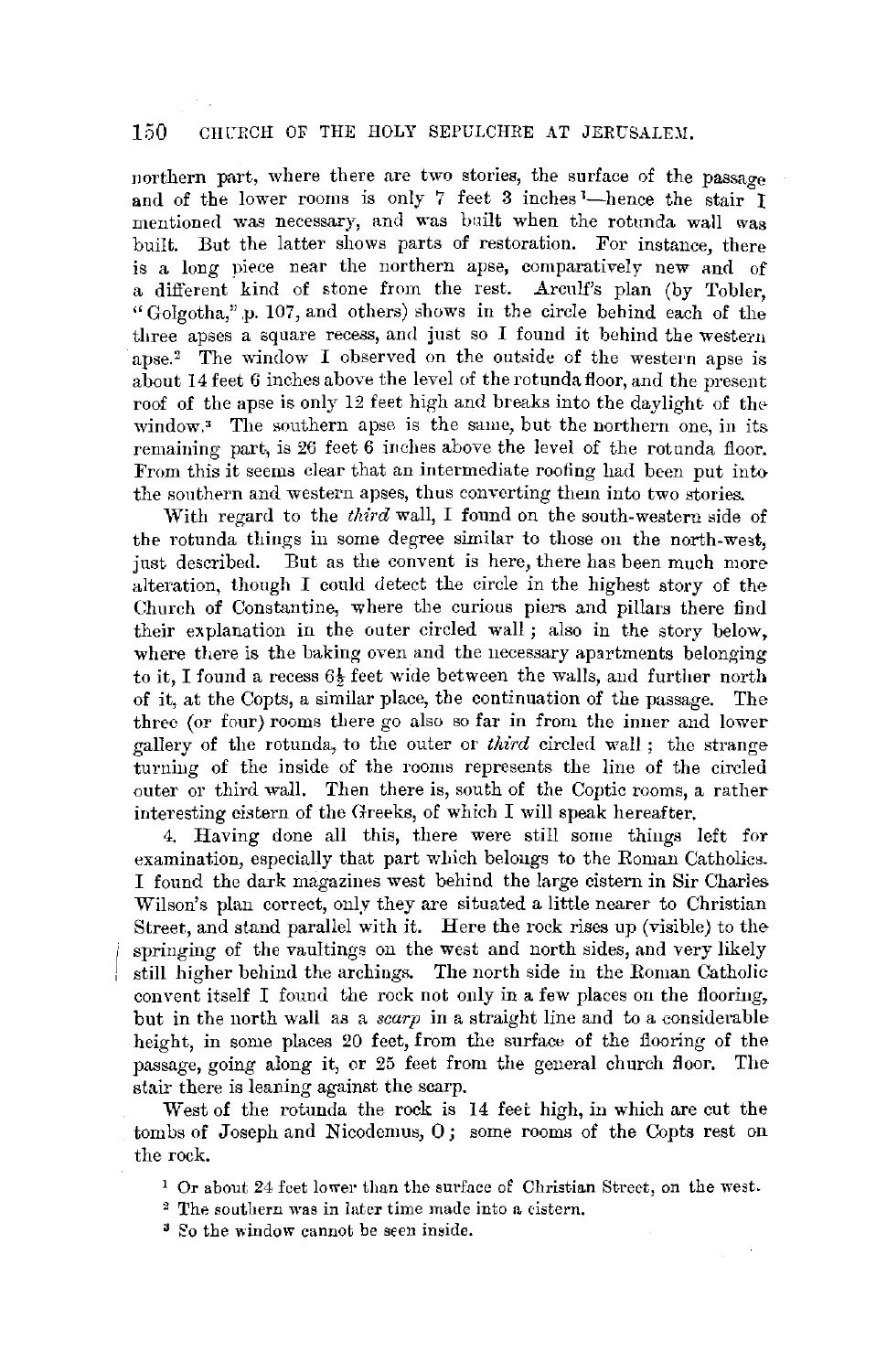## 150 CHURCH OF THE HOLY SEPULCHRE AT JERUSALEM.

northern part, where there are two stories, the surface of the passage and of the lower rooms is only 7 feet 3 inches <sup>1</sup>-hence the stair I mentioned was necessary, and was built when the rotunda wall was built. But the latter shows parts of restoration. For instance, there is a long piece near the northern apse, comparatively new and of a different kind of stone from the rest. Arcnlf's plan (by Tobler, "Golgotha," .p. 107, and others) shows in the circle behind each of the three apses a square recess, and just so I found it behind the western apse.<sup>2</sup> The window I observed on the outside of the western apse is about 14 feet *6* inches above the level of the rotunda floor, and the present roof of the apse is only 12 feet high and breaks into the daylight of the $window<sup>3</sup>$ . The southern apse is the same, but the northern one, in its remaining part, is 26 feet 6 inches above the level of the rotunda floor. From this it seems clear that an intermediate roofing had been put into the southern and western apses, thus converting them into two stories.

With regard to the *third* wall, I found on the south-western side of the rotunda things in some degree similar to those on the north-west, jnst described. Ent as the convent is here, there has been much more alteration, though I could detect the circle in the highest story of the Church of Constantine, where the curious piers and pillars there find their explanation in the outer circled wall ; also in the story below, where there is the baking oven and the necessary apartments belonging to it, I found a recess 6½ feet wide between the walls, and further north of it, at the Copts, a similar place, the continuation of the passage. The three (or four) rooms there go also so far in from the inner and lower gallery of the rotunda, to the outer or *tliird* circled wall ; the strange turning of the inside of the rooms represents the line of the circled outer or third wall. Then there is, south of the Coptic rooms, a rather interesting cistern of the Greeks, of which I will speak hereafter.

4. Having done all this, there were still some things left for examination, especially that part which belongs to the Roman Catholics. I found the dark magazines west behind the large cistern in Sir Charles Wilson's plan correct, only they are situated a little nearer to Christian Street, and stand parallel with it. Here the rock rises up (visible) to the springing of the vaultings on the west and north sides, and very likely still higher behind the archings. The north side in the Roman Catholic convent itself I found the rock not only in a few places on the flooring, but in the north wall as a *scarp* in a straight line and to a considerable height, in some places 20 feet, from the surface of the flooring of the passage, going along it, or 25 feet from the general church floor. The stair there is leaning against the scarp.

West of the rotunda the rock is 14 feet high, in **which** are cut the tombs of Joseph and Nicodemus, **0;** some rooms of the Copts rest on the rock.

1 Or about 24 feet lower than the surface of Christian Street, on the west.

 $2$  The southern was in later time made into a cistern.

<sup>3</sup> So the window cannot be seen inside.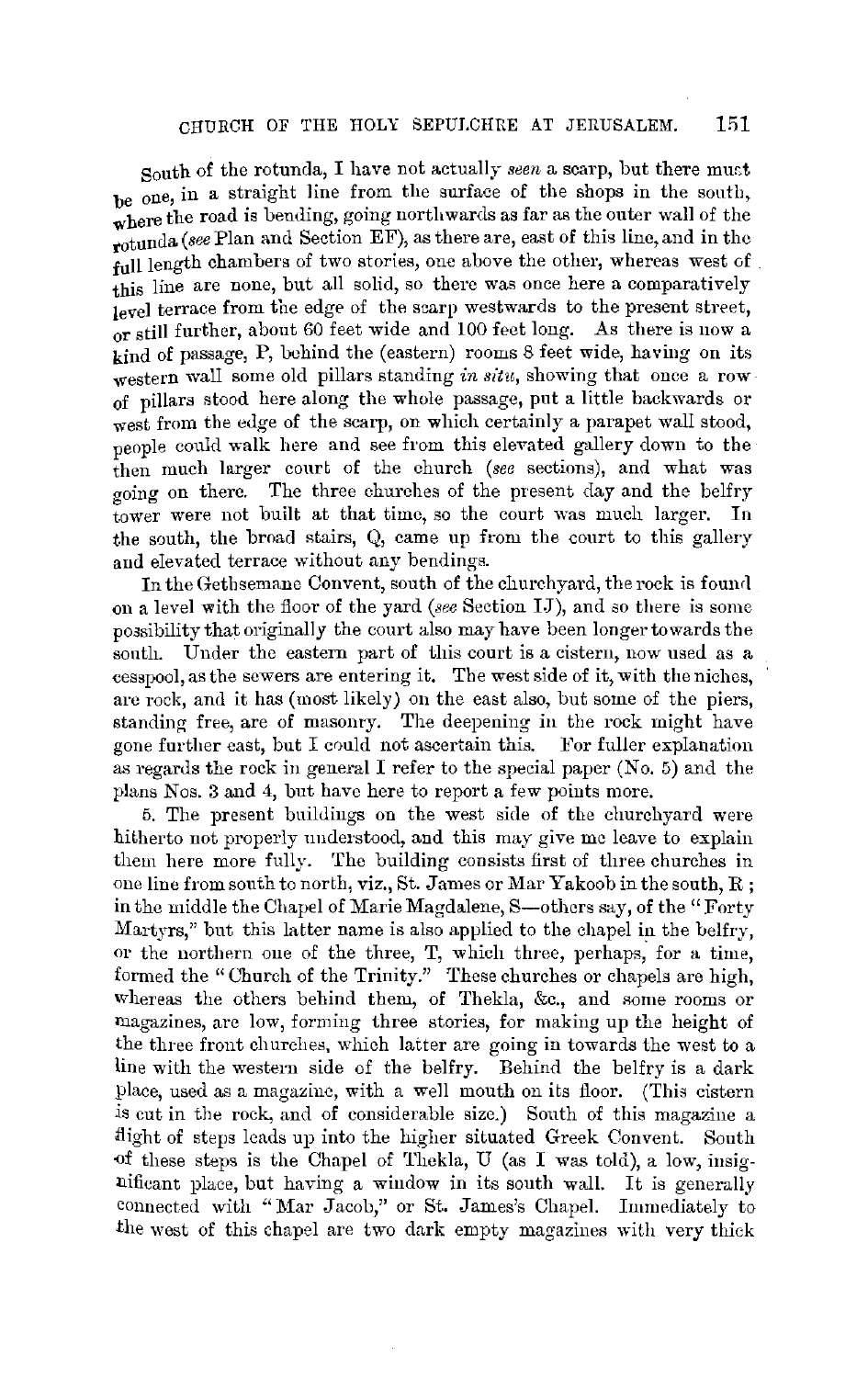## CHURCH OF THE HOLY SEPULCHRE AT JERUSALEM.  $151$

South of the rotunda, I have not actually *seen* a scarp, but there must be one, in a straight line from the surface of the shops in the south, where the road is bending, going northwards as far as the outer wall of the rotunda (see Plan and Section EF), as there are, east of this line, and in the full length chambers of two stories, one above the other, whereas west of this line are none, but all solid, so there was once here a comparatively level terrace from the edge of the scarp westwards to the present street, or still further, about 60 feet wide and 100 feet long. As there is now a kind of passage, P, behind the (eastern) rooms 8 feet wide, having on its western wall some old pillars standing *in situ*, showing that once a row of pillars stood here along the whole passage, put a little backwards or west from the edge of the scarp, on which certainly a parapet wall stood, people could walk here and see from this elevated gallery down to the then much larger courb of the church *(see* sections), and what was going on there. The three churches of the present day and the belfry tower were not built at that time, so the court was much larger. In the south, the broad stairs, Q, came up from the court to this gallery and elevated terrace without any bendings.

In the Gethsemane Convent, south of the churchyard, the rock is found on a level with the floor of the yard *(see* Section IJ), and so there is some poasibility that originally the court also may have been longer towards the south. Under the eastern part of this court is a cistern, now used as a cesspool, as the sewers are entering it. The west side of it, with the niches, are rock, and it has (most likely) on the east also, but some of the piers, standing free, are of masonry. The deepening in the rock might have gone further east, but I could not ascertain this. For fuller explanation as regards the rock in general I refer to the special paper (No. 5) and the plans Nos. 3 and 4, but have here to report a few points more.

5. The present buildings on the west side of the churchyard were hitherto not properly nnderstood, and this may give me leave to explain them here more fully. The building consists first of three churches in one line from south to north, viz., St. James or Mar Yakoob in the south, R; in the middle the Chapel of Marie Magdalene, S-others say, of the "Forty" Martyrs," but this latter name is also applied to the chapel in the belfry, or the northern one of the three, T, which three, perhaps, for a time, formed the "Church of the Trinity." These churches or chapels are high, whereas the others behind them, of Thekla, &c., and some rooms or magazines, are low, forming three stories, for making up the height of the three front churches, which latter are going in towards the west to a line with the westem side of the belfry. Behind the belfry is a dark place, used as a magazine, with a well mouth on its floor. (This cistern is cut in the rock, and of considerable size.) South of this magazine a .flight of steps leads up into the higher situated Greek Convent. South of these steps is the Chapel of Thekla, U (as I was told), a low, insignificant phce, but having a window in its south wall. It is generally connected with "Mar Jacob," or St. James's Chapel. Immediately to the west of this chapel are two dark empty magazines with very thick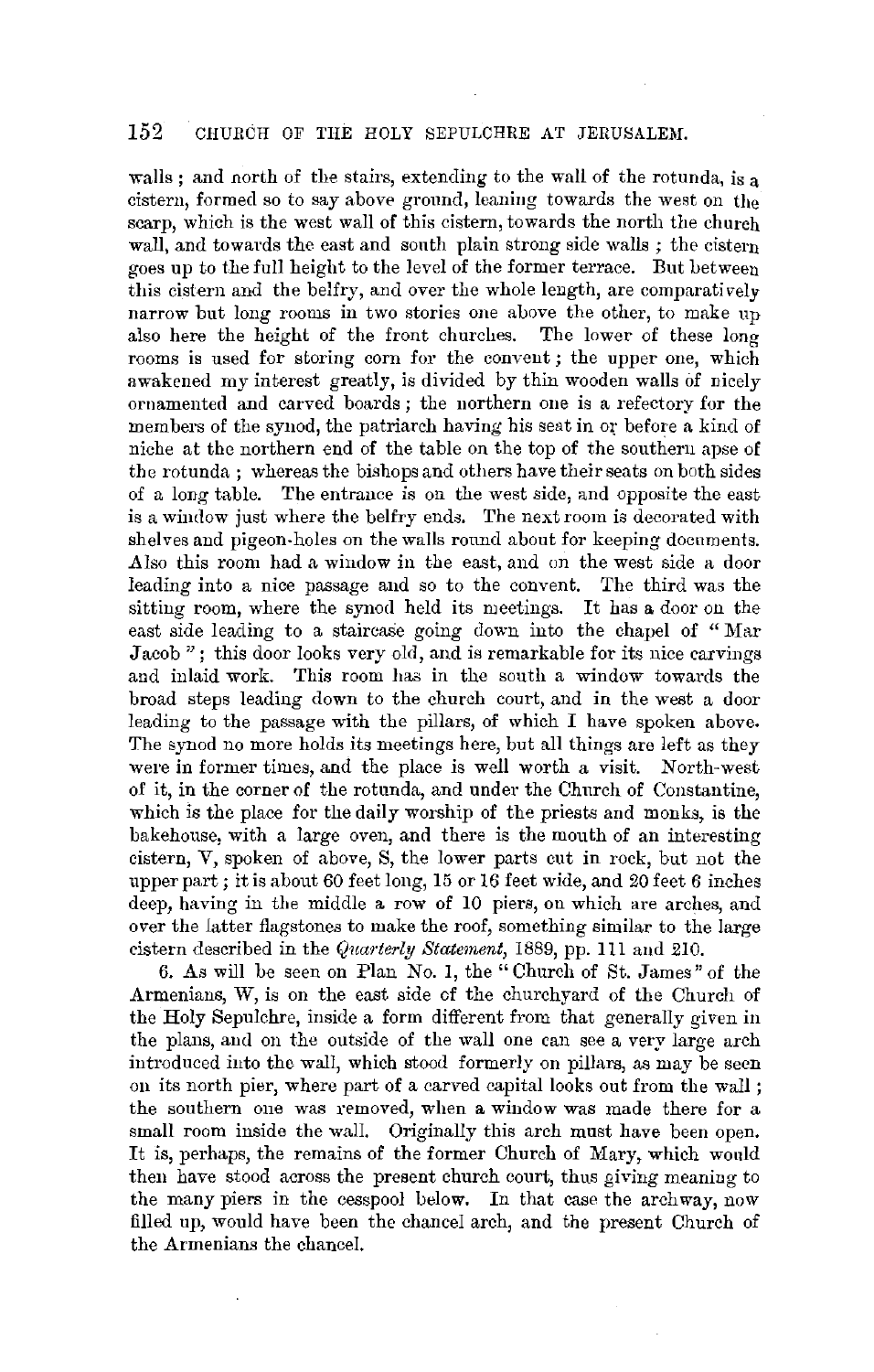# 152 CHURCH OF THE HOLY SEPULCHRE AT JERUSALEM.

walls ; and north of the stairs, extending to the wall of the rotunda, is a cistern, formed so to say above ground, leaning towards the west on the scarp, which is the west wall of this cistern, towards the north the church wall, and towards the east and south plain strong side walls; the cistern goes up to the full height to the level of the former terrace. But between this cistern and the belfry, and over the whole length, are comparatively narrow but long rooms in two stories one above the other, to make up also here the height of the front churches. The lower of these long rooms is used for storing corn for the convent; the upper one, which awakened my interest greatly, is divided by thin wooden walls of nicely ornamented and carved boards; the northern one is a refectory for the members of the synod, the patriarch having his seat in or before a kind of niche at the northern end of the table on the top of the southern apse of the rotunda ; whereas the bishops and others have their seats on both sides of a long table. The entrance is on the west side, and opposite the east is a window just where the belfry ends. The next room is decorated with shelves and pigeon-holes on the walls round about for keeping documents. .Also this room had a window in the east, and on the west side a door leading into a nice passage and so to the convent. The third was the sitting room, where the synod held its meetings. It has a door on the east side leading to a staircase going down into the chapel of "Mar Jacob"; this door looks very old, and is remarkable for its nice carvings and inlaid work. This room haa in the south a window towards the broad steps leading down to the church court, and in the west a door leading to the passage with the pillars, of which I have spoken above. The synod no more holds its meetings here, but all things are left as they were in former times, and the place is well worth a visit. North-west of it, in the corner of the rotunda, and under the Church of Constantine, which is the place for the daily worship of the priests and monks, is the bakehouse, with a large oven, and there is the mouth of an interesting cistern, V, spoken of above, S, the lower parts cut in rock, but not the upper part; it is about 60 feet long, 15 or 16 feet wide, and 20 feet *6* inches deep, having in the middle a row of 10 piers, on which are arches, and over the latter flagstones to make the roof, something similar to the large cistern described in the *Qnarterly Statement,* 1889, pp. Ill and *210.* 

6. As will be seen on Plan No. I, the" Church of St. James" of the Armenians, W, is on the east side of the churchyard of the Church of the Holy Sepulchre, inside a form different from that generally given in the plans, and on the outside of the wall one can see a very large arch introduced into the wall, which stood formerly on pillars, as may be seen on its north pier, where part of a carved capital looks out from the wall ; the southern one was removed, when a window was made there for a small room inside the wall. Originally this arch must have been open. It is, perhaps, the remains of the former Church of Mary, which would then have stood across the present church court, thus giving meaning to the many piers in the cesspool below. In that case the archway, now filled up, would have been the chancel arch, and the present Church of the Armenians the chancel.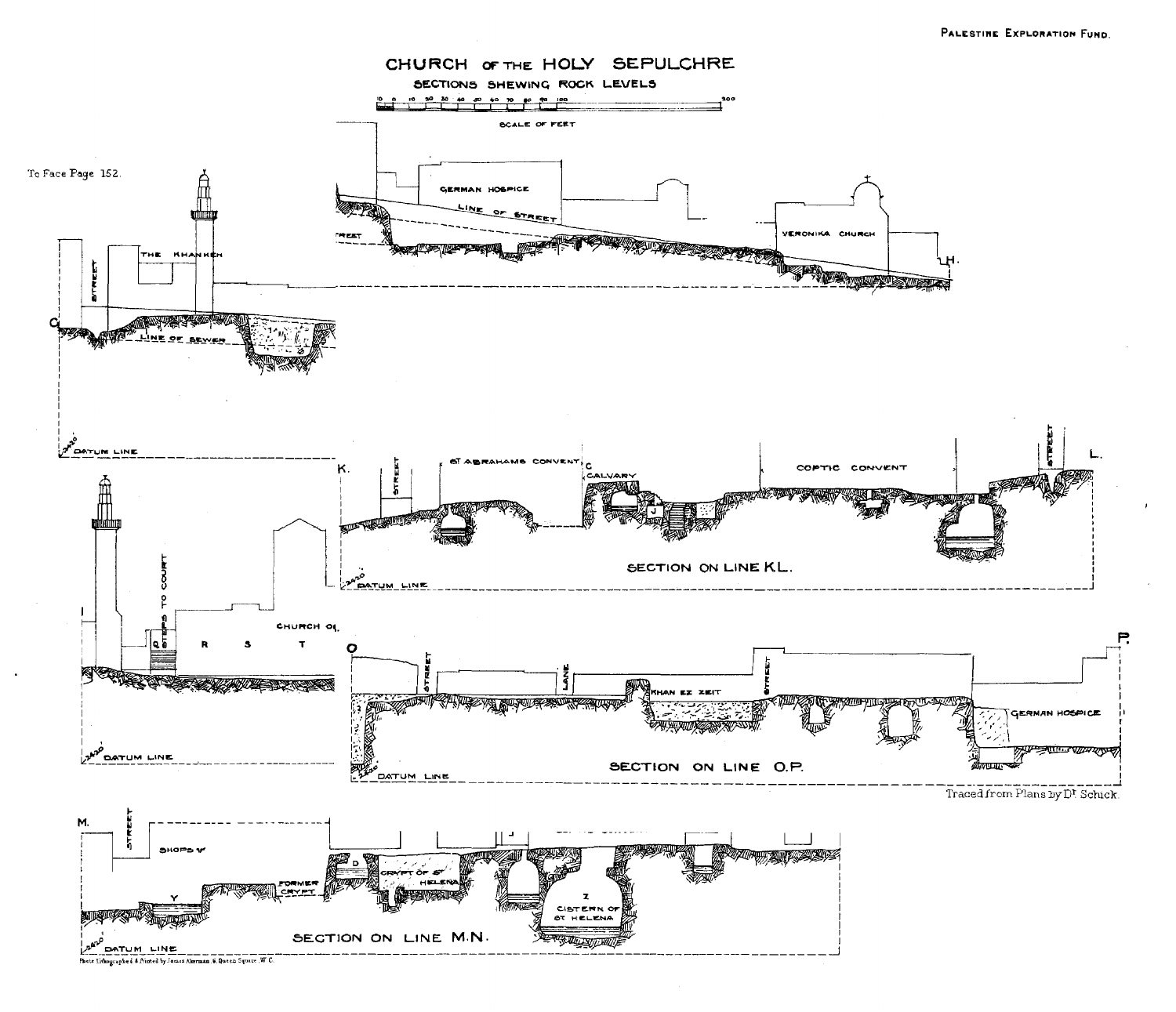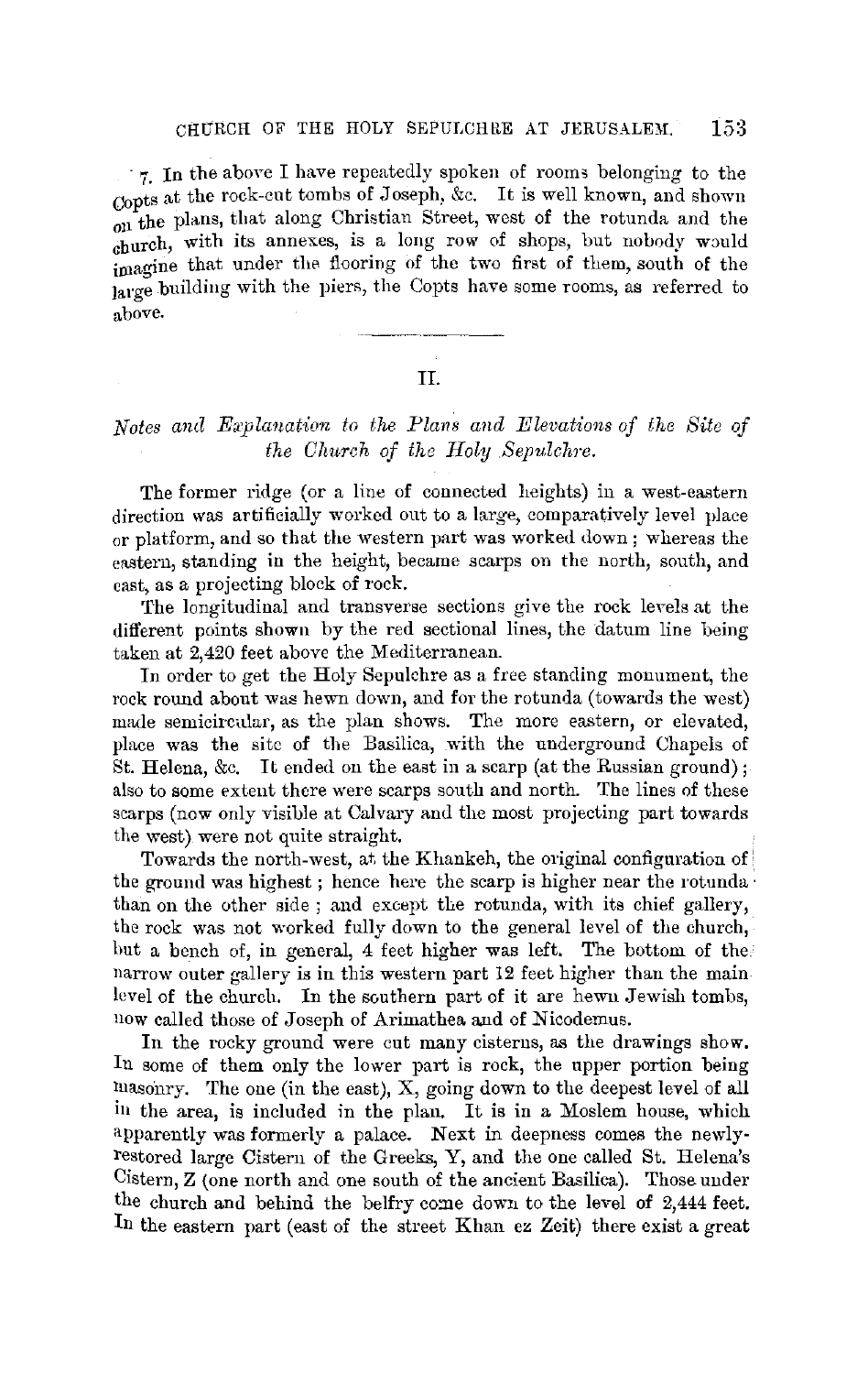· 7. In the above I have repeatedly spoken of rooms belonging to the Copts at the rock-cut tombs of Joseph, &c. It is well known, and shown on the plans, that along Christian Street, west of the rotunda and the  $_{\text{church.}}$  with its annexes, is a long row of shops, but nobody would imagine that under the flooring of the two first of them, south of the large building with the piers, the Copts have some rooms, as referred to above.

#### II.

# *Notes and Explanation to the Plans and Elevations of the Site of the Church of the Holy Sepulchre.*

The former ridge (or a line of connected heights) in a west-eastern direction was artificially worked out to a large, comparatively level plaee or platform, and so that the western part was worked down; whereas the eastern, standing in the height, became scarps on the north, south, and cast, as a projecting block of rock.

The longitudinal and transverse sections give the rock levels at the different points shown by the red sectional lines, the datum line being taken at 2,420 feet above the Mediterranean.

In order to get the Holy Sepulchre as a free standing monument, the rock round about was hewn down, and for the rotunda (towards the west) made semicircular, as the plan shows. The more eastern, or elevated, place was the site of the Basilica, with the underground Chapels of St. Helena, &c. It ended on the east in a scarp (at the Russian ground); also to some extent there were scarps south and north. The lines of these scarps (now only visible at Calvary and the most projecting part towards the west) were not quite straight.

Towards the north-west, at the Khankeh, the original configuration of the ground was highest ; hence here the scarp is higher near the rotunda · than on the other side ; and except the rotunda, with its chief gallery, the rock was not worked fully down to the general level of the church, hut a bench of, in general, 4 feet higher was left. The bottom of the narrow outer gallery is in this western part 12 feet higher than the main level of the church. In the southern part of it are hewn Jewish tombs, now called those of Joseph of Arimathea and of Nicodemus.

In the rocky ground were cut many cisterns, as the drawings show. In some of them only the lower part is rock, the upper portion being masonry. The one (in the east), X, going down to the deepest level of all in the area, is included in the plan. It is in a Moslem house, which apparently was formerly a palace. Next in deepness comes the newlyrestored large Cistern of the Greeks, Y, and the one called St. Helena's Cistern,  $Z$  (one north and one south of the ancient Basilica). Those under the church and behind the belfry come down to the level of  $2,444$  feet. In the eastern part (east of the street Khan ez Zeit) there exist a great